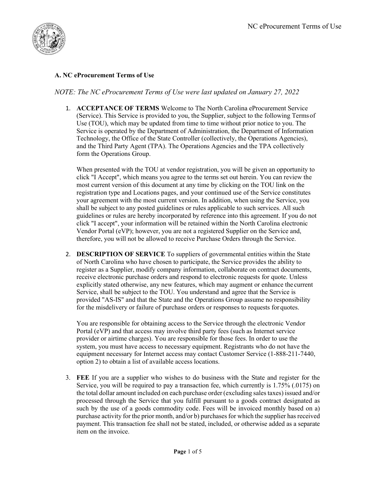

## A. NC eProcurement Terms of Use

## NOTE: The NC eProcurement Terms of Use were last updated on January 27, 2022

1. ACCEPTANCE OF TERMS Welcome to The North Carolina eProcurement Service (Service). This Service is provided to you, the Supplier, subject to the following Terms of Use (TOU), which may be updated from time to time without prior notice to you. The Service is operated by the Department of Administration, the Department of Information Technology, the Office of the State Controller (collectively, the Operations Agencies), and the Third Party Agent (TPA). The Operations Agencies and the TPA collectively form the Operations Group.

When presented with the TOU at vendor registration, you will be given an opportunity to click "I Accept", which means you agree to the terms set out herein. You can review the most current version of this document at any time by clicking on the TOU link on the registration type and Locations pages, and your continued use of the Service constitutes your agreement with the most current version. In addition, when using the Service, you shall be subject to any posted guidelines or rules applicable to such services. All such guidelines or rules are hereby incorporated by reference into this agreement. If you do not click "I accept", your information will be retained within the North Carolina electronic Vendor Portal (eVP); however, you are not a registered Supplier on the Service and, therefore, you will not be allowed to receive Purchase Orders through the Service.

2. DESCRIPTION OF SERVICE To suppliers of governmental entities within the State of North Carolina who have chosen to participate, the Service provides the ability to register as a Supplier, modify company information, collaborate on contract documents, receive electronic purchase orders and respond to electronic requests for quote. Unless explicitly stated otherwise, any new features, which may augment or enhance the current Service, shall be subject to the TOU. You understand and agree that the Service is provided "AS-IS" and that the State and the Operations Group assume no responsibility for the misdelivery or failure of purchase orders or responses to requests for quotes.

You are responsible for obtaining access to the Service through the electronic Vendor Portal (eVP) and that access may involve third party fees (such as Internet service provider or airtime charges). You are responsible for those fees. In order to use the system, you must have access to necessary equipment. Registrants who do not have the equipment necessary for Internet access may contact Customer Service (1-888-211-7440, option 2) to obtain a list of available access locations.

3. FEE If you are a supplier who wishes to do business with the State and register for the Service, you will be required to pay a transaction fee, which currently is 1.75% (.0175) on the total dollar amount included on each purchase order (excluding sales taxes) issued and/or processed through the Service that you fulfill pursuant to a goods contract designated as such by the use of a goods commodity code. Fees will be invoiced monthly based on a) purchase activity for the prior month, and/or b) purchases for which the supplier has received payment. This transaction fee shall not be stated, included, or otherwise added as a separate item on the invoice.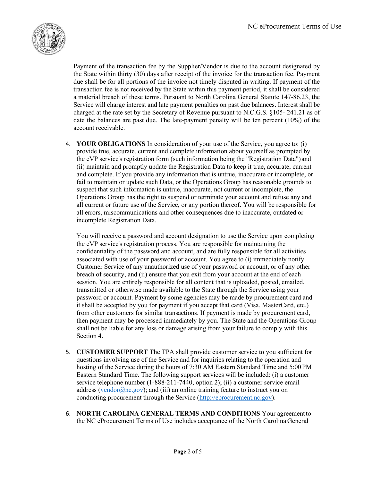

Payment of the transaction fee by the Supplier/Vendor is due to the account designated by the State within thirty (30) days after receipt of the invoice for the transaction fee. Payment due shall be for all portions of the invoice not timely disputed in writing. If payment of the transaction fee is not received by the State within this payment period, it shall be considered a material breach of these terms. Pursuant to North Carolina General Statute 147-86.23, the Service will charge interest and late payment penalties on past due balances. Interest shall be charged at the rate set by the Secretary of Revenue pursuant to N.C.G.S. §105- 241.21 as of date the balances are past due. The late-payment penalty will be ten percent (10%) of the account receivable.

4. YOUR OBLIGATIONS In consideration of your use of the Service, you agree to: (i) provide true, accurate, current and complete information about yourself as prompted by the eVP service's registration form (such information being the "Registration Data") and (ii) maintain and promptly update the Registration Data to keep it true, accurate, current and complete. If you provide any information that is untrue, inaccurate or incomplete, or fail to maintain or update such Data, or the Operations Group has reasonable grounds to suspect that such information is untrue, inaccurate, not current or incomplete, the Operations Group has the right to suspend or terminate your account and refuse any and all current or future use of the Service, or any portion thereof. You will be responsible for all errors, miscommunications and other consequences due to inaccurate, outdated or incomplete Registration Data.

You will receive a password and account designation to use the Service upon completing the eVP service's registration process. You are responsible for maintaining the confidentiality of the password and account, and are fully responsible for all activities associated with use of your password or account. You agree to (i) immediately notify Customer Service of any unauthorized use of your password or account, or of any other breach of security, and (ii) ensure that you exit from your account at the end of each session. You are entirely responsible for all content that is uploaded, posted, emailed, transmitted or otherwise made available to the State through the Service using your password or account. Payment by some agencies may be made by procurement card and it shall be accepted by you for payment if you accept that card (Visa, MasterCard, etc.) from other customers for similar transactions. If payment is made by procurement card, then payment may be processed immediately by you. The State and the Operations Group shall not be liable for any loss or damage arising from your failure to comply with this Section 4.

- 5. CUSTOMER SUPPORT The TPA shall provide customer service to you sufficient for questions involving use of the Service and for inquiries relating to the operation and hosting of the Service during the hours of 7:30 AM Eastern Standard Time and 5:00 PM Eastern Standard Time. The following support services will be included: (i) a customer service telephone number (1-888-211-7440, option 2); (ii) a customer service email address (vendor $(\partial_{\Omega} n c.gov)$ ; and (iii) an online training feature to instruct you on conducting procurement through the Service (http://eprocurement.nc.gov).
- 6. NORTH CAROLINA GENERAL TERMS AND CONDITIONS Your agreement to the NC eProcurement Terms of Use includes acceptance of the North Carolina General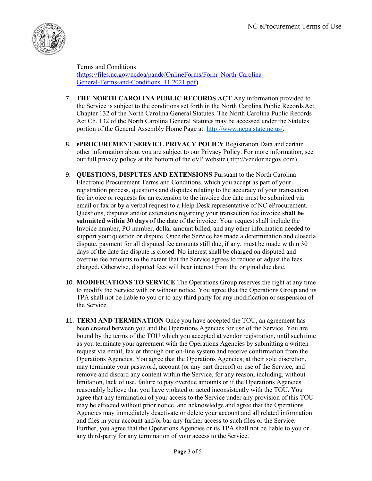

Terms and Conditions (https://files.nc.gov/ncdoa/pandc/OnlineForms/Form\_North-Carolina-General-Terms-and-Conditions\_11.2021.pdf).

- 7. THE NORTH CAROLINA PUBLIC RECORDS ACT Any information provided to the Service is subject to the conditions set forth in the North Carolina Public Records Act, Chapter 132 of the North Carolina General Statutes. The North Carolina Public Records Act Ch. 132 of the North Carolina General Statutes may be accessed under the Statutes portion of the General Assembly Home Page at: http://www.ncga.state.nc.us/.
- 8. ePROCUREMENT SERVICE PRIVACY POLICY Registration Data and certain other information about you are subject to our Privacy Policy. For more information, see our full privacy policy at the bottom of the eVP website (http://vendor.ncgov.com).
- 9. QUESTIONS, DISPUTES AND EXTENSIONS Pursuant to the North Carolina Electronic Procurement Terms and Conditions, which you accept as part of your registration process, questions and disputes relating to the accuracy of your transaction fee invoice or requests for an extension to the invoice due date must be submitted via email or fax or by a verbal request to a Help Desk representative of NC eProcurement. Questions, disputes and/or extensions regarding your transaction fee invoice shall be submitted within 30 days of the date of the invoice. Your request shall include the Invoice number, PO number, dollar amount billed, and any other information needed to support your question or dispute. Once the Service has made a determination and closed a dispute, payment for all disputed fee amounts still due, if any, must be made within 30 days of the date the dispute is closed. No interest shall be charged on disputed and overdue fee amounts to the extent that the Service agrees to reduce or adjust the fees charged. Otherwise, disputed fees will bear interest from the original due date.
- 10. MODIFICATIONS TO SERVICE The Operations Group reserves the right at any time to modify the Service with or without notice. You agree that the Operations Group and its TPA shall not be liable to you or to any third party for any modification or suspension of the Service.
- 11. TERM AND TERMINATION Once you have accepted the TOU, an agreement has been created between you and the Operations Agencies for use of the Service. You are bound by the terms of the TOU which you accepted at vendor registration, until such time as you terminate your agreement with the Operations Agencies by submitting a written request via email, fax or through our on-line system and receive confirmation from the Operations Agencies. You agree that the Operations Agencies, at their sole discretion, may terminate your password, account (or any part thereof) or use of the Service, and remove and discard any content within the Service, for any reason, including, without limitation, lack of use, failure to pay overdue amounts or if the Operations Agencies reasonably believe that you have violated or acted inconsistently with the TOU. You agree that any termination of your access to the Service under any provision of this TOU may be effected without prior notice, and acknowledge and agree that the Operations Agencies may immediately deactivate or delete your account and all related information and files in your account and/or bar any further access to such files or the Service. Further, you agree that the Operations Agencies or its TPA shall not be liable to you or any third-party for any termination of your access to the Service.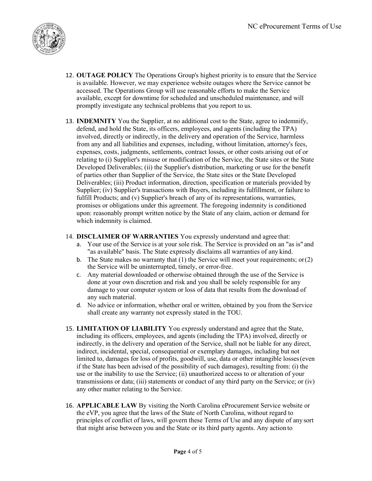

- 12. OUTAGE POLICY The Operations Group's highest priority is to ensure that the Service is available. However, we may experience website outages where the Service cannot be accessed. The Operations Group will use reasonable efforts to make the Service available, except for downtime for scheduled and unscheduled maintenance, and will promptly investigate any technical problems that you report to us.
- 13. INDEMNITY You the Supplier, at no additional cost to the State, agree to indemnify, defend, and hold the State, its officers, employees, and agents (including the TPA) involved, directly or indirectly, in the delivery and operation of the Service, harmless from any and all liabilities and expenses, including, without limitation, attorney's fees, expenses, costs, judgments, settlements, contract losses, or other costs arising out of or relating to (i) Supplier's misuse or modification of the Service, the State sites or the State Developed Deliverables; (ii) the Supplier's distribution, marketing or use for the benefit of parties other than Supplier of the Service, the State sites or the State Developed Deliverables; (iii) Product information, direction, specification or materials provided by Supplier; (iv) Supplier's transactions with Buyers, including its fulfillment, or failure to fulfill Products; and (v) Supplier's breach of any of its representations, warranties, promises or obligations under this agreement. The foregoing indemnity is conditioned upon: reasonably prompt written notice by the State of any claim, action or demand for which indemnity is claimed.

## 14. DISCLAIMER OF WARRANTIES You expressly understand and agree that:

- a. Your use of the Service is at your sole risk. The Service is provided on an "as is" and "as available" basis. The State expressly disclaims all warranties of any kind.
- b. The State makes no warranty that  $(1)$  the Service will meet your requirements; or  $(2)$ the Service will be uninterrupted, timely, or error-free.
- c. Any material downloaded or otherwise obtained through the use of the Service is done at your own discretion and risk and you shall be solely responsible for any damage to your computer system or loss of data that results from the download of any such material.
- d. No advice or information, whether oral or written, obtained by you from the Service shall create any warranty not expressly stated in the TOU.
- 15. LIMITATION OF LIABILITY You expressly understand and agree that the State, including its officers, employees, and agents (including the TPA) involved, directly or indirectly, in the delivery and operation of the Service, shall not be liable for any direct, indirect, incidental, special, consequential or exemplary damages, including but not limited to, damages for loss of profits, goodwill, use, data or other intangible losses (even if the State has been advised of the possibility of such damages), resulting from: (i) the use or the inability to use the Service; (ii) unauthorized access to or alteration of your transmissions or data; (iii) statements or conduct of any third party on the Service; or (iv) any other matter relating to the Service.
- 16. APPLICABLE LAW By visiting the North Carolina eProcurement Service website or the eVP, you agree that the laws of the State of North Carolina, without regard to principles of conflict of laws, will govern these Terms of Use and any dispute of any sort that might arise between you and the State or its third party agents. Any action to